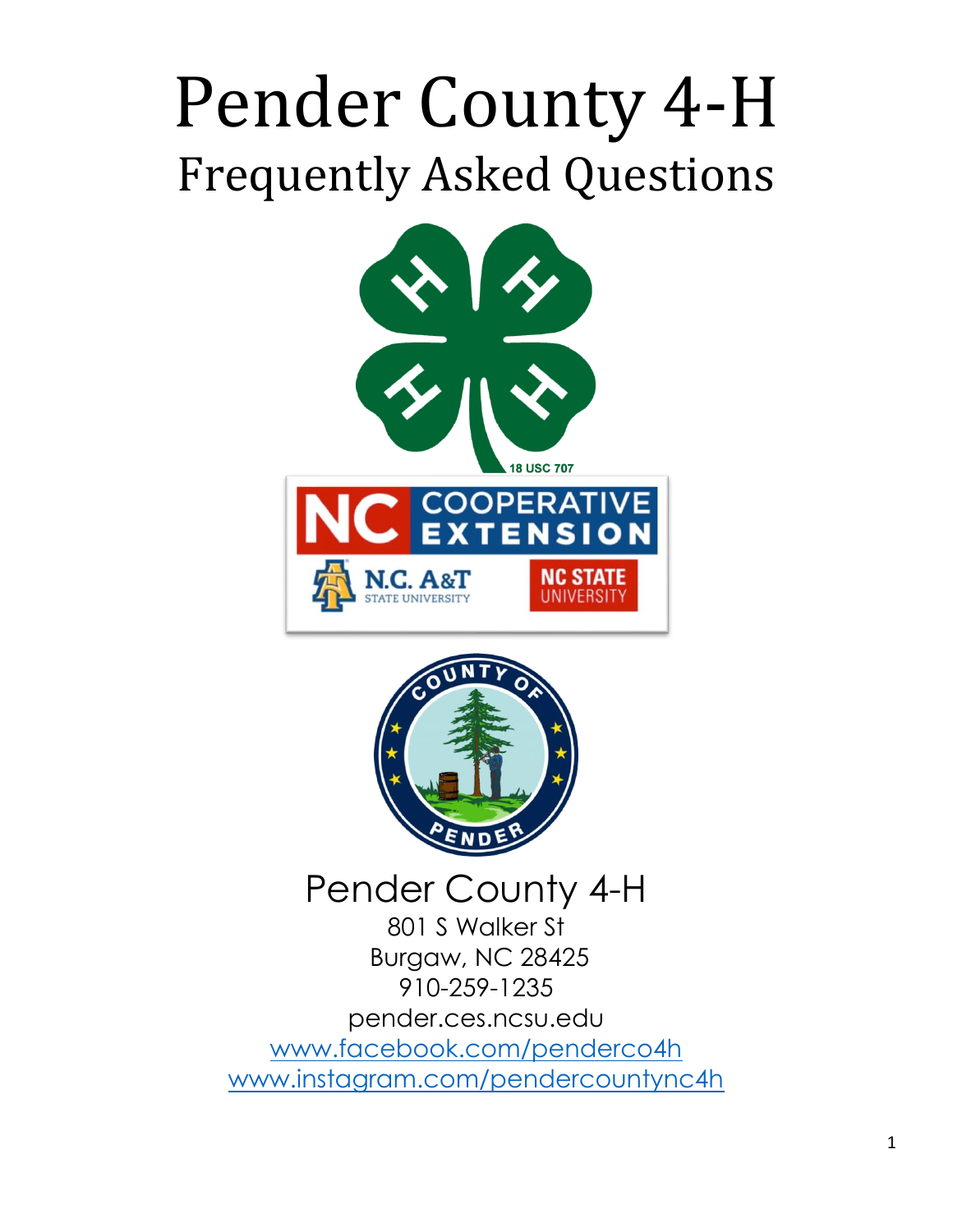# Pender County 4-H Frequently Asked Questions





### Pender County 4-H

801 S Walker St Burgaw, NC 28425 910-259-1235 pender.ces.ncsu.edu [www.facebook.com/penderco4h](http://www.facebook.com/penderco4h) [www.instagram.com/pendercountync4h](http://www.instagram.com/pendercountync4h)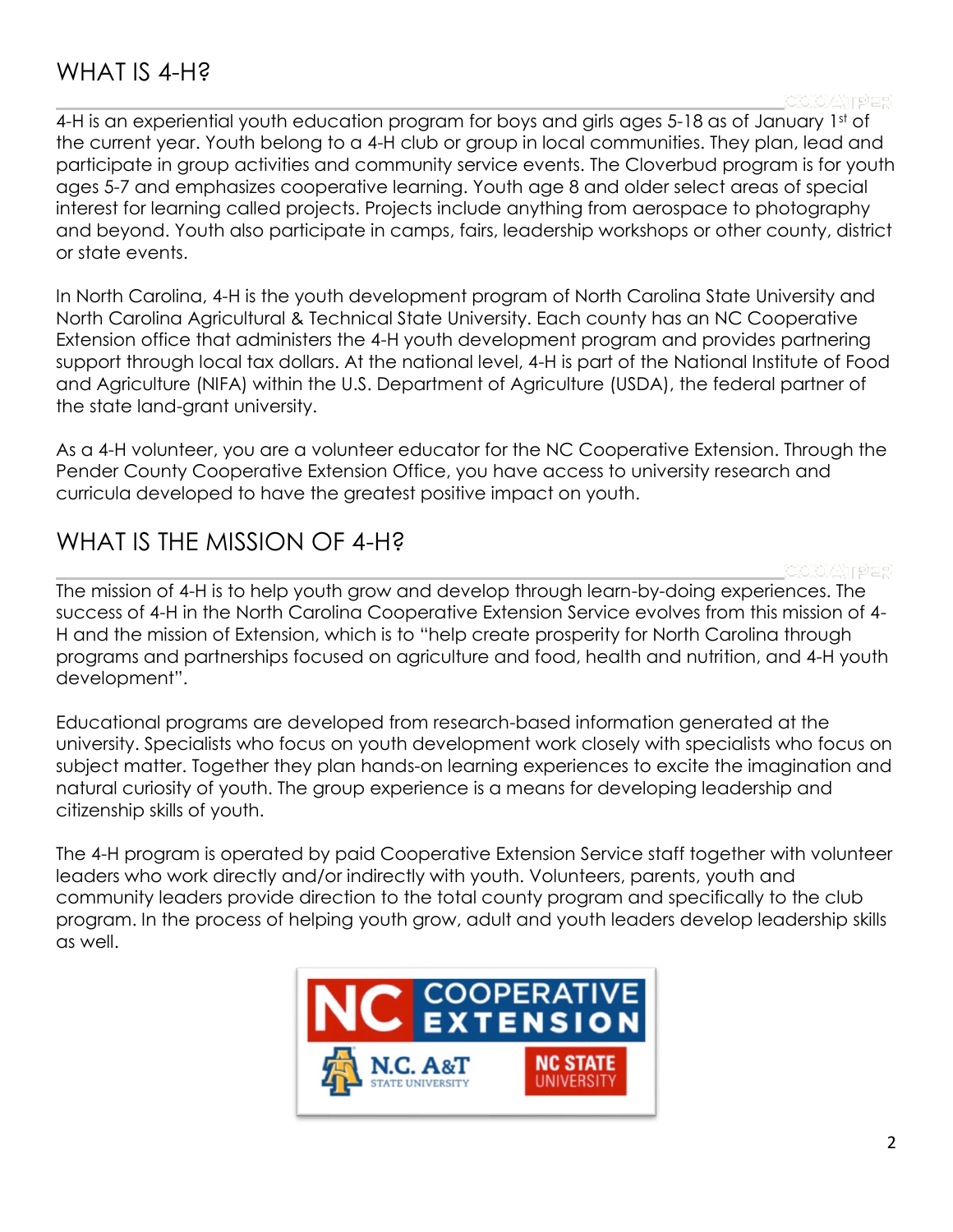### WHAT IS 4-H?

4-H is an experiential youth education program for boys and girls ages 5-18 as of January 1st of the current year. Youth belong to a 4-H club or group in local communities. They plan, lead and participate in group activities and community service events. The Cloverbud program is for youth ages 5-7 and emphasizes cooperative learning. Youth age 8 and older select areas of special interest for learning called projects. Projects include anything from aerospace to photography and beyond. Youth also participate in camps, fairs, leadership workshops or other county, district or state events.

In North Carolina, 4-H is the youth development program of North Carolina State University and North Carolina Agricultural & Technical State University. Each county has an NC Cooperative Extension office that administers the 4-H youth development program and provides partnering support through local tax dollars. At the national level, 4-H is part of the National Institute of Food and Agriculture (NIFA) within the U.S. Department of Agriculture (USDA), the federal partner of the state land-grant university.

As a 4-H volunteer, you are a volunteer educator for the NC Cooperative Extension. Through the Pender County Cooperative Extension Office, you have access to university research and curricula developed to have the greatest positive impact on youth.

### WHAT IS THE MISSION OF 4-H?

The mission of 4-H is to help youth grow and develop through learn-by-doing experiences. The success of 4-H in the North Carolina Cooperative Extension Service evolves from this mission of 4- H and the mission of Extension, which is to "help create prosperity for North Carolina through programs and partnerships focused on agriculture and food, health and nutrition, and 4-H youth development".

Educational programs are developed from research-based information generated at the university. Specialists who focus on youth development work closely with specialists who focus on subject matter. Together they plan hands-on learning experiences to excite the imagination and natural curiosity of youth. The group experience is a means for developing leadership and citizenship skills of youth.

The 4-H program is operated by paid Cooperative Extension Service staff together with volunteer leaders who work directly and/or indirectly with youth. Volunteers, parents, youth and community leaders provide direction to the total county program and specifically to the club program. In the process of helping youth grow, adult and youth leaders develop leadership skills as well.

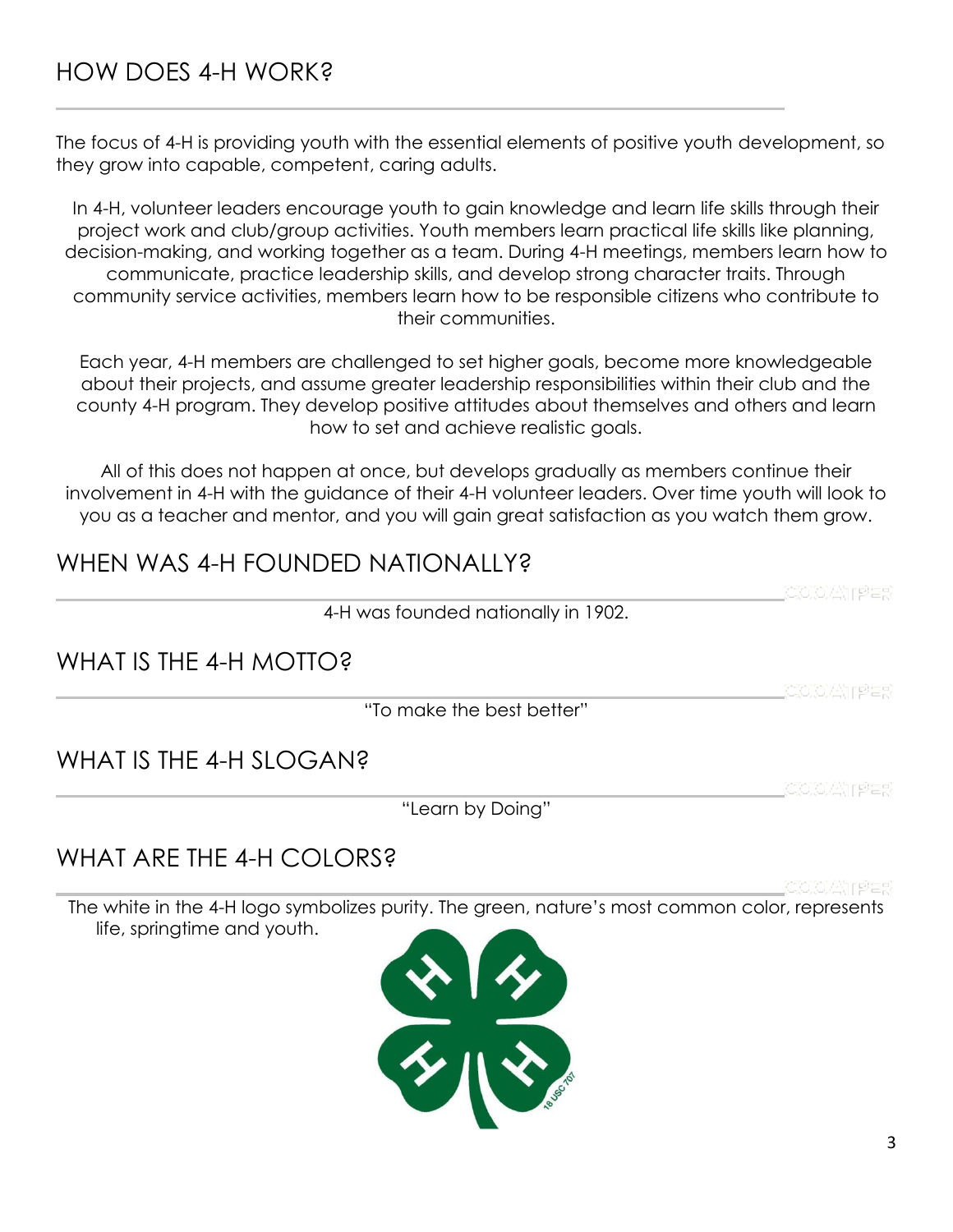### HOW DOES 4-H WORK?

The focus of 4-H is providing youth with the essential elements of positive youth development, so they grow into capable, competent, caring adults.

In 4-H, volunteer leaders encourage youth to gain knowledge and learn life skills through their project work and club/group activities. Youth members learn practical life skills like planning, decision-making, and working together as a team. During 4-H meetings, members learn how to communicate, practice leadership skills, and develop strong character traits. Through community service activities, members learn how to be responsible citizens who contribute to their communities.

Each year, 4-H members are challenged to set higher goals, become more knowledgeable about their projects, and assume greater leadership responsibilities within their club and the county 4-H program. They develop positive attitudes about themselves and others and learn how to set and achieve realistic goals.

All of this does not happen at once, but develops gradually as members continue their involvement in 4-H with the guidance of their 4-H volunteer leaders. Over time youth will look to you as a teacher and mentor, and you will gain great satisfaction as you watch them grow.

### WHEN WAS 4-H FOUNDED NATIONALLY?

4-H was founded nationally in 1902.

WHAT IS THE 4-H MOTTO?

"To make the best better"

### WHAT IS THE 4-H SLOGAN?

"Learn by Doing"

### WHAT ARF THE 4-H COLORS?

The white in the 4-H logo symbolizes purity. The green, nature's most common color, represents life, springtime and youth.

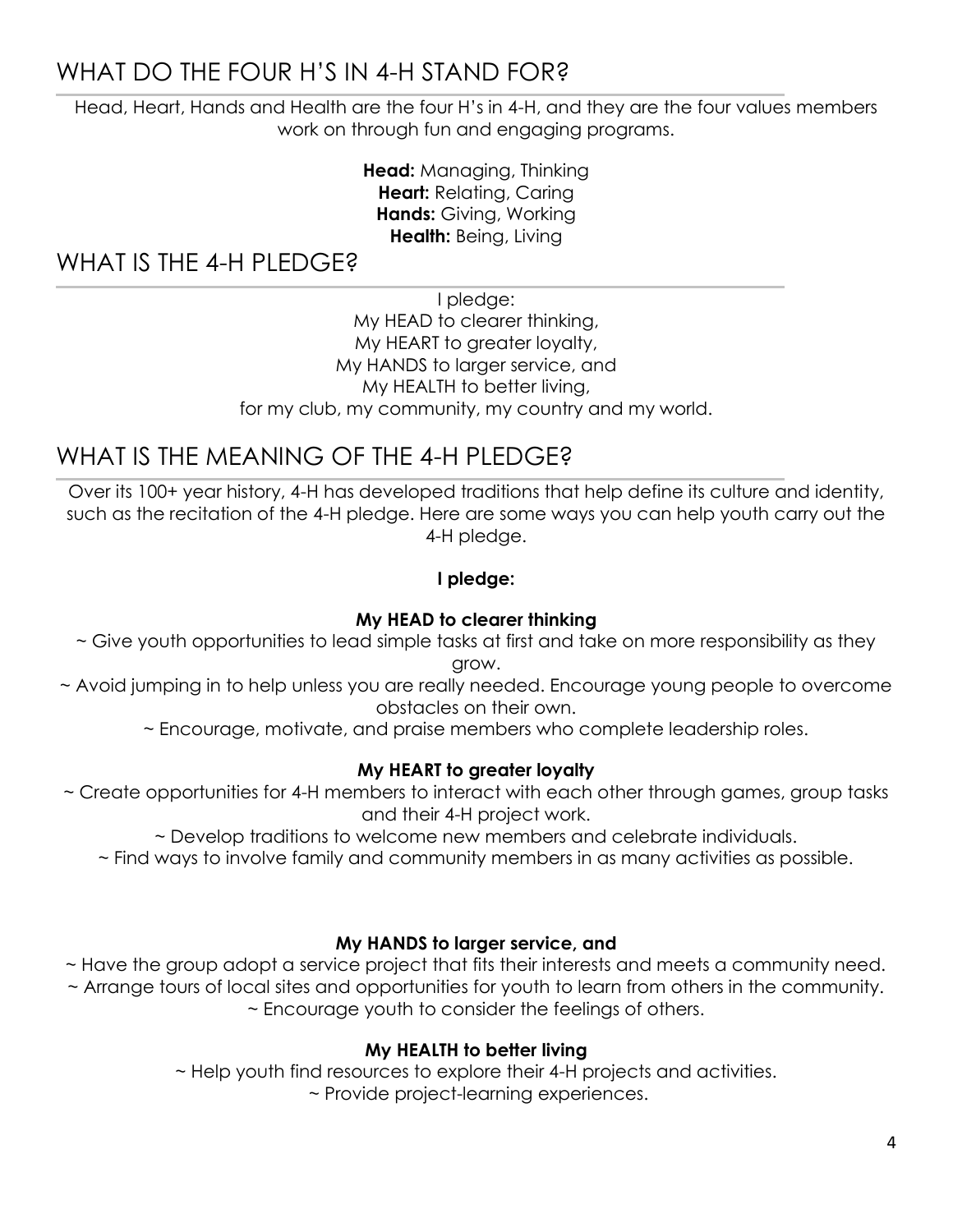### WHAT DO THE FOUR H'S IN 4-H STAND FOR?

Head, Heart, Hands and Health are the four H's in 4-H, and they are the four values members work on through fun and engaging programs.

> **Head:** Managing, Thinking **Heart:** Relating, Caring **Hands:** Giving, Working **Health:** Being, Living

WHAT IS THE 4-H PLEDGE?

I pledge:

My HEAD to clearer thinking, My HEART to greater loyalty, My HANDS to larger service, and My HEALTH to better living, for my club, my community, my country and my world.

### WHAT IS THE MEANING OF THE 4-H PI FDGE?

Over its 100+ year history, 4-H has developed traditions that help define its culture and identity, such as the recitation of the 4-H pledge. Here are some ways you can help youth carry out the 4-H pledge.

### **I pledge:**

### **My HEAD to clearer thinking**

- ~ Give youth opportunities to lead simple tasks at first and take on more responsibility as they grow.
- ~ Avoid jumping in to help unless you are really needed. Encourage young people to overcome obstacles on their own.
	- ~ Encourage, motivate, and praise members who complete leadership roles.

### **My HEART to greater loyalty**

- ~ Create opportunities for 4-H members to interact with each other through games, group tasks and their 4-H project work.
	- ~ Develop traditions to welcome new members and celebrate individuals.
	- ~ Find ways to involve family and community members in as many activities as possible.

#### **My HANDS to larger service, and**

~ Have the group adopt a service project that fits their interests and meets a community need. ~ Arrange tours of local sites and opportunities for youth to learn from others in the community. ~ Encourage youth to consider the feelings of others.

### **My HEALTH to better living**

~ Help youth find resources to explore their 4-H projects and activities.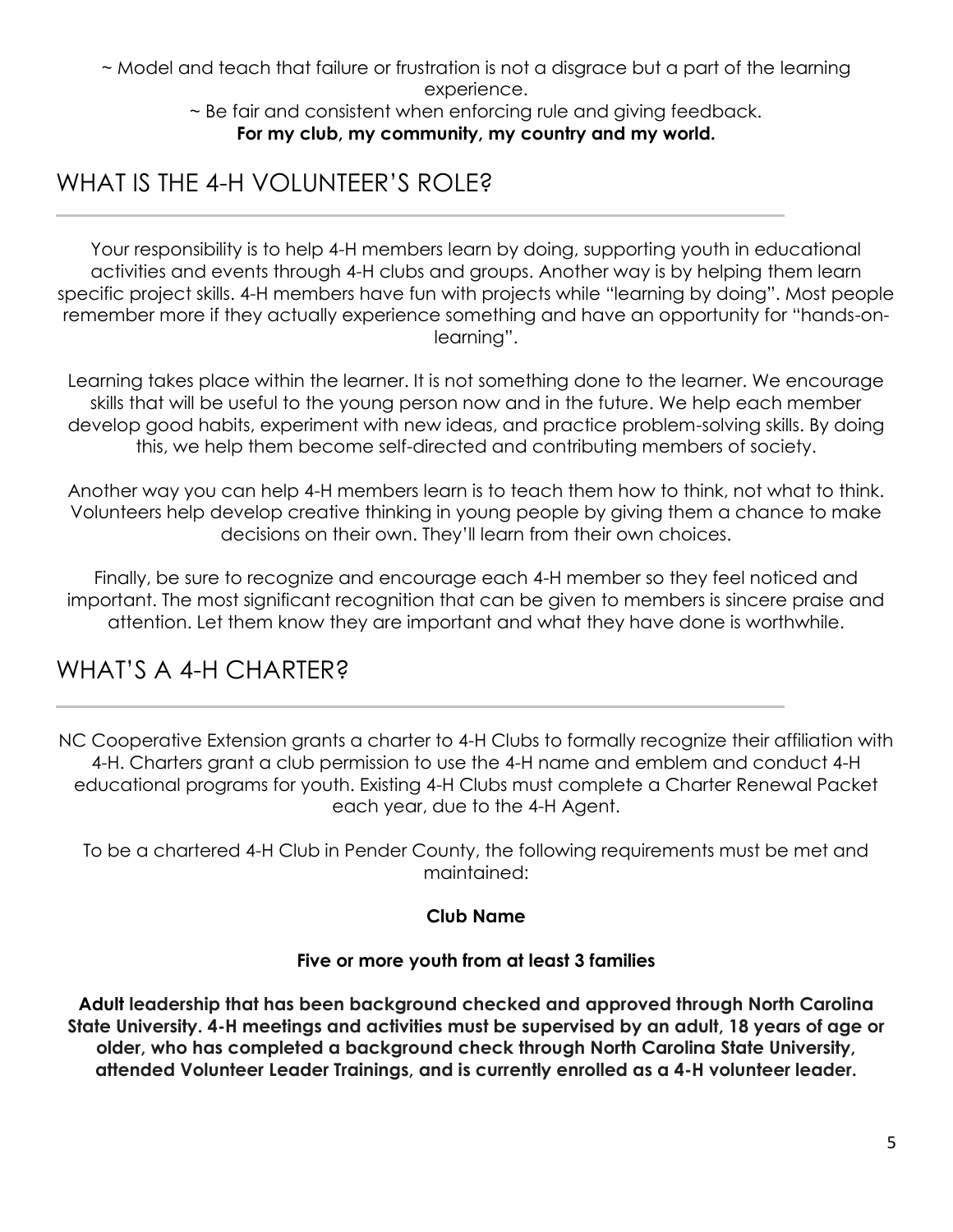~ Model and teach that failure or frustration is not a disgrace but a part of the learning experience.

~ Be fair and consistent when enforcing rule and giving feedback. **For my club, my community, my country and my world.**

### WHAT IS THE 4-H VOLUNTEER'S ROLE?

Your responsibility is to help 4-H members learn by doing, supporting youth in educational activities and events through 4-H clubs and groups. Another way is by helping them learn specific project skills. 4-H members have fun with projects while "learning by doing". Most people remember more if they actually experience something and have an opportunity for "hands-onlearning".

Learning takes place within the learner. It is not something done to the learner. We encourage skills that will be useful to the young person now and in the future. We help each member develop good habits, experiment with new ideas, and practice problem-solving skills. By doing this, we help them become self-directed and contributing members of society.

Another way you can help 4-H members learn is to teach them how to think, not what to think. Volunteers help develop creative thinking in young people by giving them a chance to make decisions on their own. They'll learn from their own choices.

Finally, be sure to recognize and encourage each 4-H member so they feel noticed and important. The most significant recognition that can be given to members is sincere praise and attention. Let them know they are important and what they have done is worthwhile.

### WHAT'S A 4-H CHARTER?

NC Cooperative Extension grants a charter to 4-H Clubs to formally recognize their affiliation with 4-H. Charters grant a club permission to use the 4-H name and emblem and conduct 4-H educational programs for youth. Existing 4-H Clubs must complete a Charter Renewal Packet each year, due to the 4-H Agent.

To be a chartered 4-H Club in Pender County, the following requirements must be met and maintained:

### **Club Name**

### **Five or more youth from at least 3 families**

**Adult leadership that has been background checked and approved through North Carolina State University. 4-H meetings and activities must be supervised by an adult, 18 years of age or older, who has completed a background check through North Carolina State University, attended Volunteer Leader Trainings, and is currently enrolled as a 4-H volunteer leader.**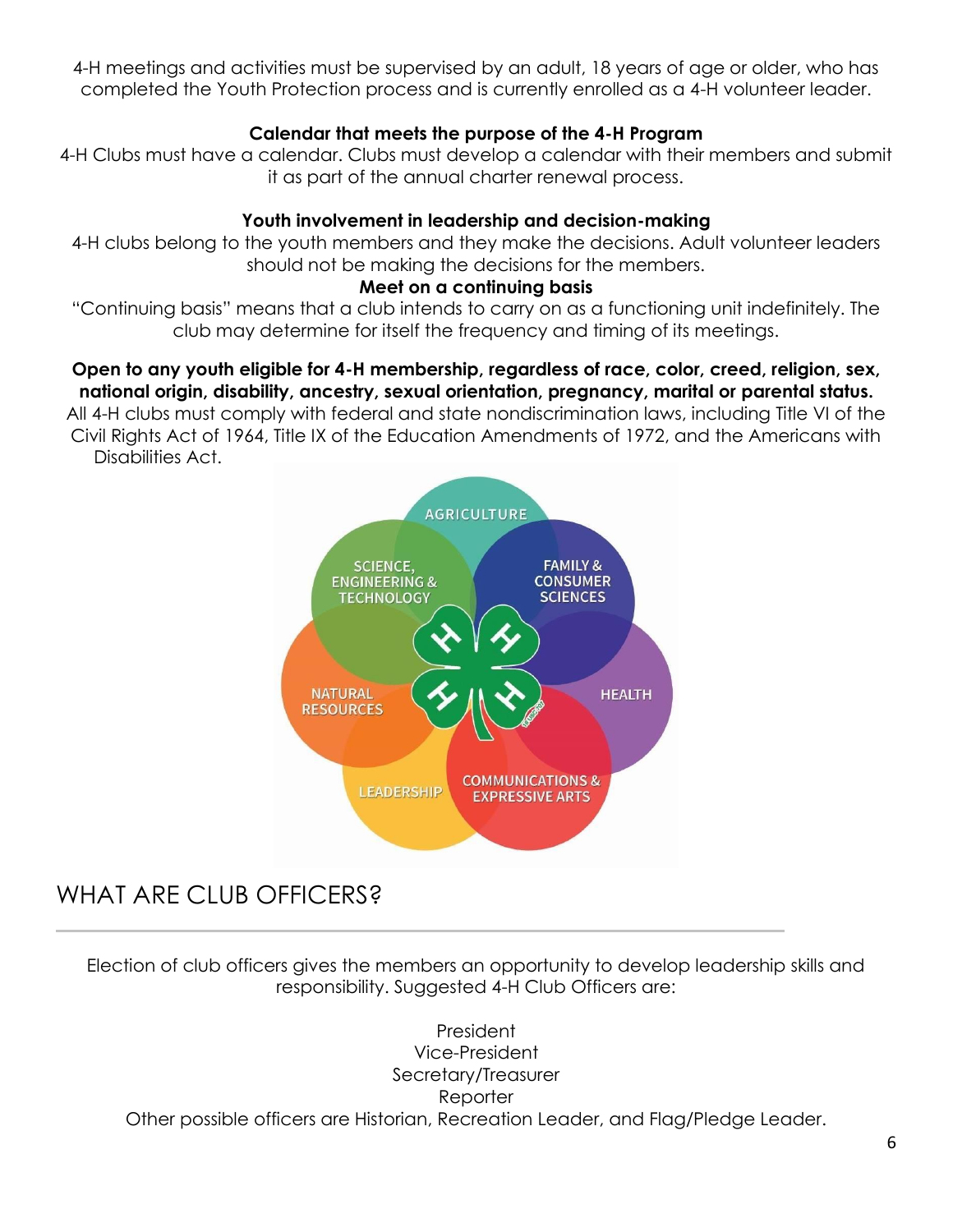4-H meetings and activities must be supervised by an adult, 18 years of age or older, who has completed the Youth Protection process and is currently enrolled as a 4-H volunteer leader.

### **Calendar that meets the purpose of the 4-H Program**

4-H Clubs must have a calendar. Clubs must develop a calendar with their members and submit it as part of the annual charter renewal process.

#### **Youth involvement in leadership and decision-making**

4-H clubs belong to the youth members and they make the decisions. Adult volunteer leaders should not be making the decisions for the members.

#### **Meet on a continuing basis**

"Continuing basis" means that a club intends to carry on as a functioning unit indefinitely. The club may determine for itself the frequency and timing of its meetings.

#### **Open to any youth eligible for 4-H membership, regardless of race, color, creed, religion, sex, national origin, disability, ancestry, sexual orientation, pregnancy, marital or parental status.**

All 4-H clubs must comply with federal and state nondiscrimination laws, including Title VI of the Civil Rights Act of 1964, Title IX of the Education Amendments of 1972, and the Americans with Disabilities Act.



### WHAT ARE CLUB OFFICERS?

Election of club officers gives the members an opportunity to develop leadership skills and responsibility. Suggested 4-H Club Officers are:

President Vice-President Secretary/Treasurer Reporter Other possible officers are Historian, Recreation Leader, and Flag/Pledge Leader.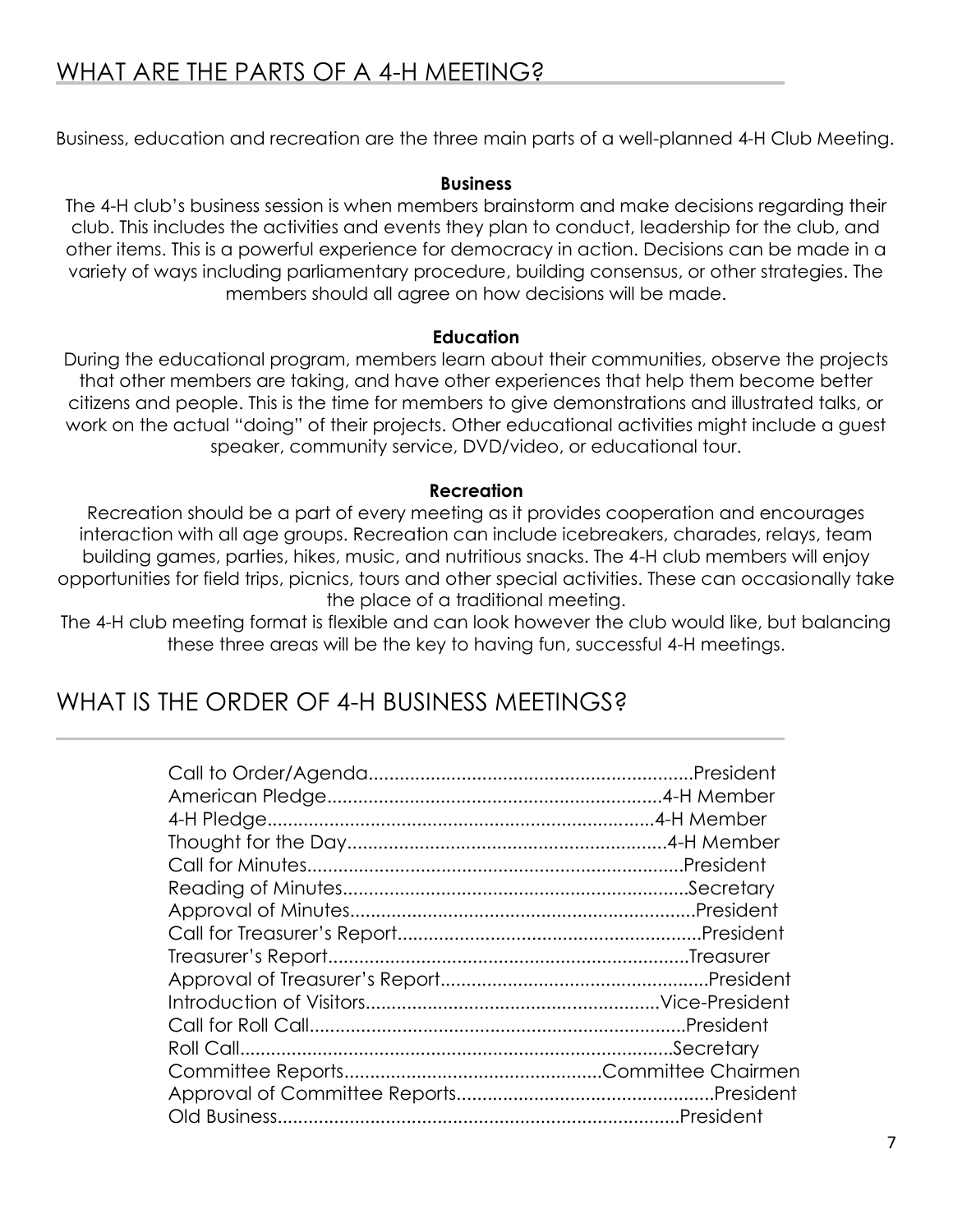Business, education and recreation are the three main parts of a well-planned 4-H Club Meeting.

#### **Business**

The 4-H club's business session is when members brainstorm and make decisions regarding their club. This includes the activities and events they plan to conduct, leadership for the club, and other items. This is a powerful experience for democracy in action. Decisions can be made in a variety of ways including parliamentary procedure, building consensus, or other strategies. The members should all agree on how decisions will be made.

#### **Education**

During the educational program, members learn about their communities, observe the projects that other members are taking, and have other experiences that help them become better citizens and people. This is the time for members to give demonstrations and illustrated talks, or work on the actual "doing" of their projects. Other educational activities might include a guest speaker, community service, DVD/video, or educational tour.

#### **Recreation**

Recreation should be a part of every meeting as it provides cooperation and encourages interaction with all age groups. Recreation can include icebreakers, charades, relays, team building games, parties, hikes, music, and nutritious snacks. The 4-H club members will enjoy opportunities for field trips, picnics, tours and other special activities. These can occasionally take the place of a traditional meeting.

The 4-H club meeting format is flexible and can look however the club would like, but balancing these three areas will be the key to having fun, successful 4-H meetings.

### WHAT IS THE ORDER OF 4-H BUSINESS MEETINGS?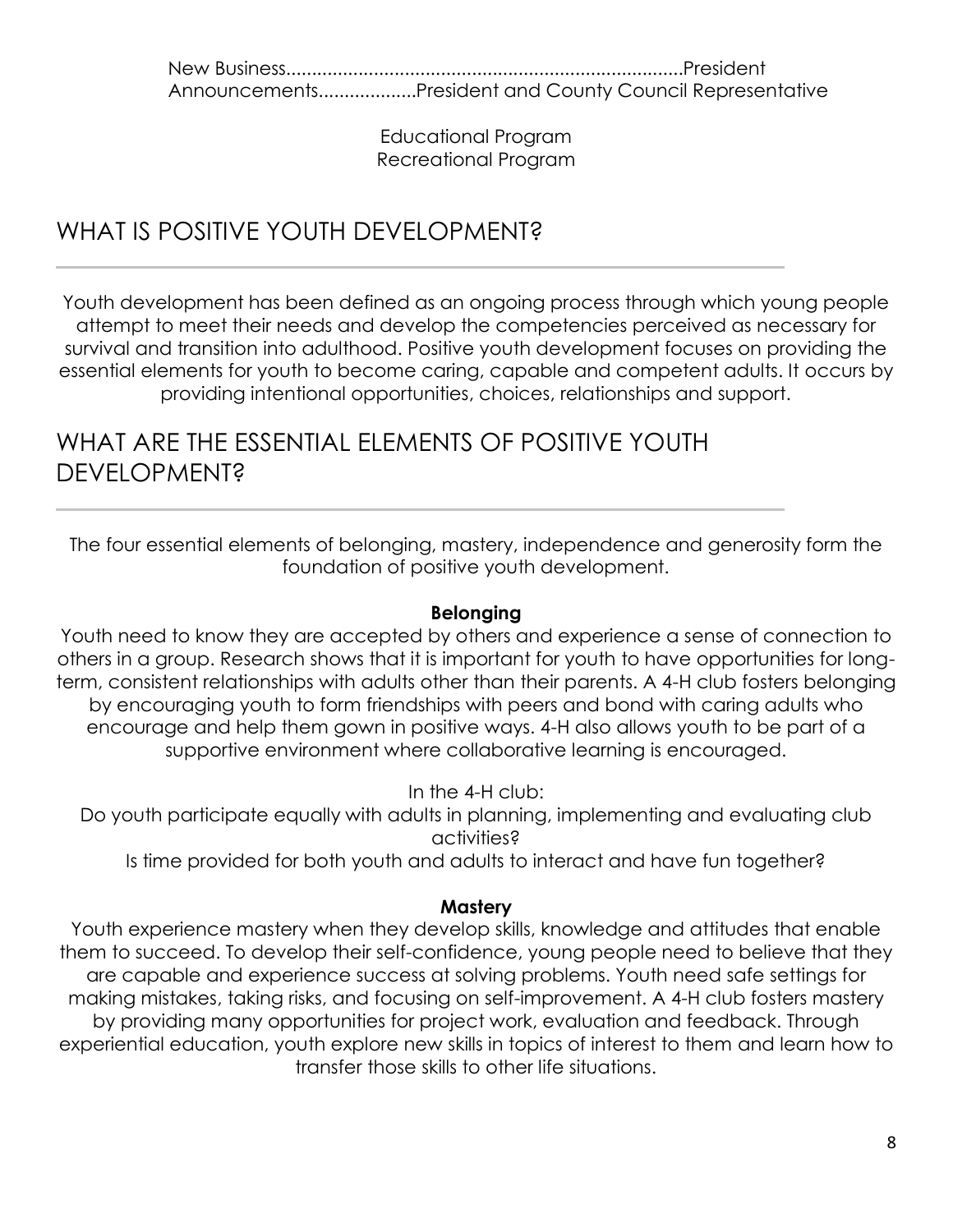New Business.............................................................................President Announcements...................President and County Council Representative

> Educational Program Recreational Program

### WHAT IS POSITIVE YOUTH DEVELOPMENT?

Youth development has been defined as an ongoing process through which young people attempt to meet their needs and develop the competencies perceived as necessary for survival and transition into adulthood. Positive youth development focuses on providing the essential elements for youth to become caring, capable and competent adults. It occurs by providing intentional opportunities, choices, relationships and support.

### WHAT ARE THE ESSENTIAL ELEMENTS OF POSITIVE YOUTH **DEVELOPMENT?**

The four essential elements of belonging, mastery, independence and generosity form the foundation of positive youth development.

### **Belonging**

Youth need to know they are accepted by others and experience a sense of connection to others in a group. Research shows that it is important for youth to have opportunities for longterm, consistent relationships with adults other than their parents. A 4-H club fosters belonging by encouraging youth to form friendships with peers and bond with caring adults who encourage and help them gown in positive ways. 4-H also allows youth to be part of a supportive environment where collaborative learning is encouraged.

In the 4-H club:

Do youth participate equally with adults in planning, implementing and evaluating club activities?

Is time provided for both youth and adults to interact and have fun together?

#### **Mastery**

Youth experience mastery when they develop skills, knowledge and attitudes that enable them to succeed. To develop their self-confidence, young people need to believe that they are capable and experience success at solving problems. Youth need safe settings for making mistakes, taking risks, and focusing on self-improvement. A 4-H club fosters mastery by providing many opportunities for project work, evaluation and feedback. Through experiential education, youth explore new skills in topics of interest to them and learn how to transfer those skills to other life situations.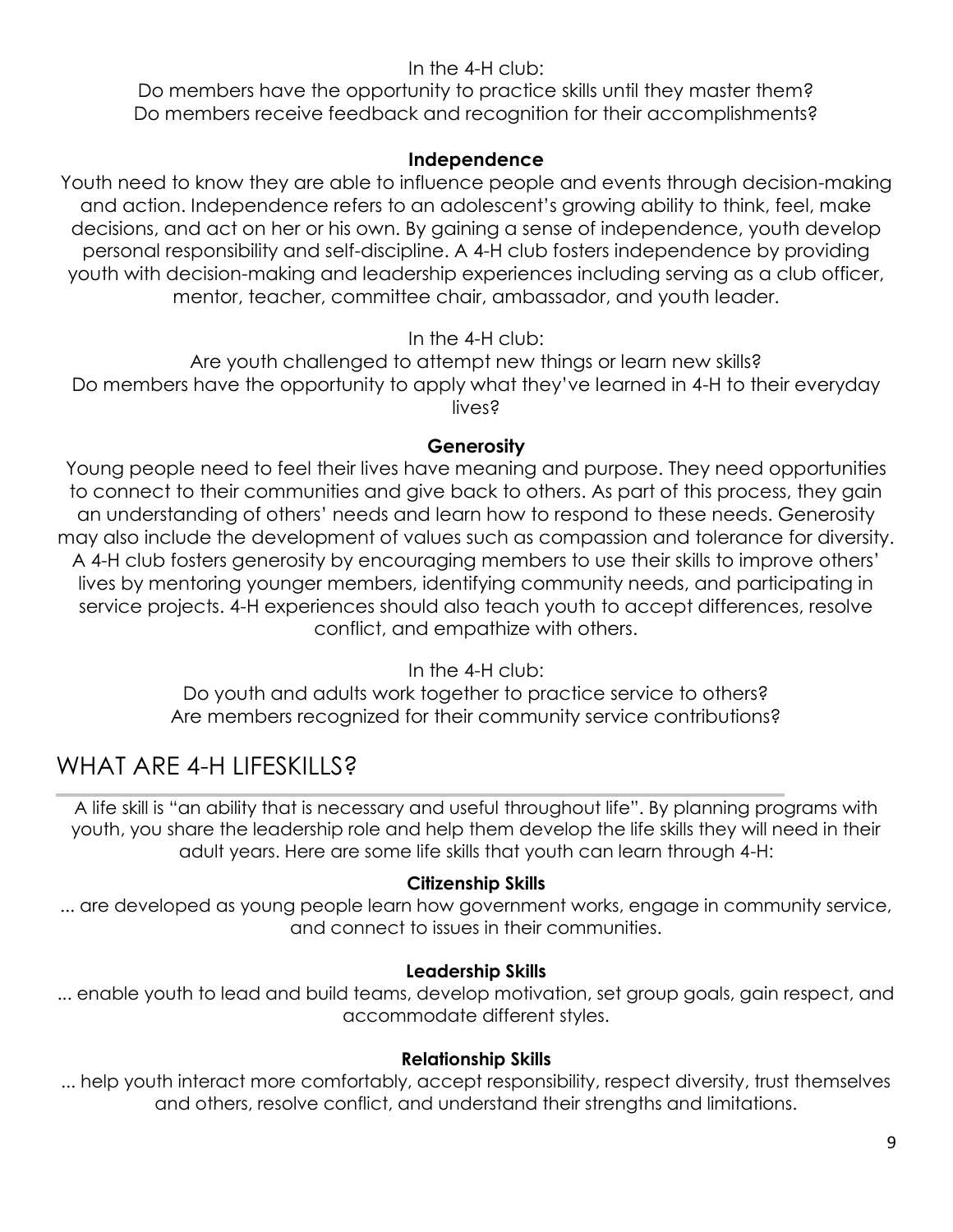### In the 4-H club:

Do members have the opportunity to practice skills until they master them? Do members receive feedback and recognition for their accomplishments?

#### **Independence**

Youth need to know they are able to influence people and events through decision-making and action. Independence refers to an adolescent's growing ability to think, feel, make decisions, and act on her or his own. By gaining a sense of independence, youth develop personal responsibility and self-discipline. A 4-H club fosters independence by providing youth with decision-making and leadership experiences including serving as a club officer, mentor, teacher, committee chair, ambassador, and youth leader.

### In the 4-H club:

Are youth challenged to attempt new things or learn new skills? Do members have the opportunity to apply what they've learned in 4-H to their everyday lives?

#### **Generosity**

Young people need to feel their lives have meaning and purpose. They need opportunities to connect to their communities and give back to others. As part of this process, they gain an understanding of others' needs and learn how to respond to these needs. Generosity may also include the development of values such as compassion and tolerance for diversity. A 4-H club fosters generosity by encouraging members to use their skills to improve others' lives by mentoring younger members, identifying community needs, and participating in service projects. 4-H experiences should also teach youth to accept differences, resolve conflict, and empathize with others.

In the 4-H club:

Do youth and adults work together to practice service to others? Are members recognized for their community service contributions?

### WHAT ARE 4-H LIFESKILLS?

A life skill is "an ability that is necessary and useful throughout life". By planning programs with youth, you share the leadership role and help them develop the life skills they will need in their adult years. Here are some life skills that youth can learn through 4-H:

#### **Citizenship Skills**

... are developed as young people learn how government works, engage in community service, and connect to issues in their communities.

### **Leadership Skills**

... enable youth to lead and build teams, develop motivation, set group goals, gain respect, and accommodate different styles.

#### **Relationship Skills**

... help youth interact more comfortably, accept responsibility, respect diversity, trust themselves and others, resolve conflict, and understand their strengths and limitations.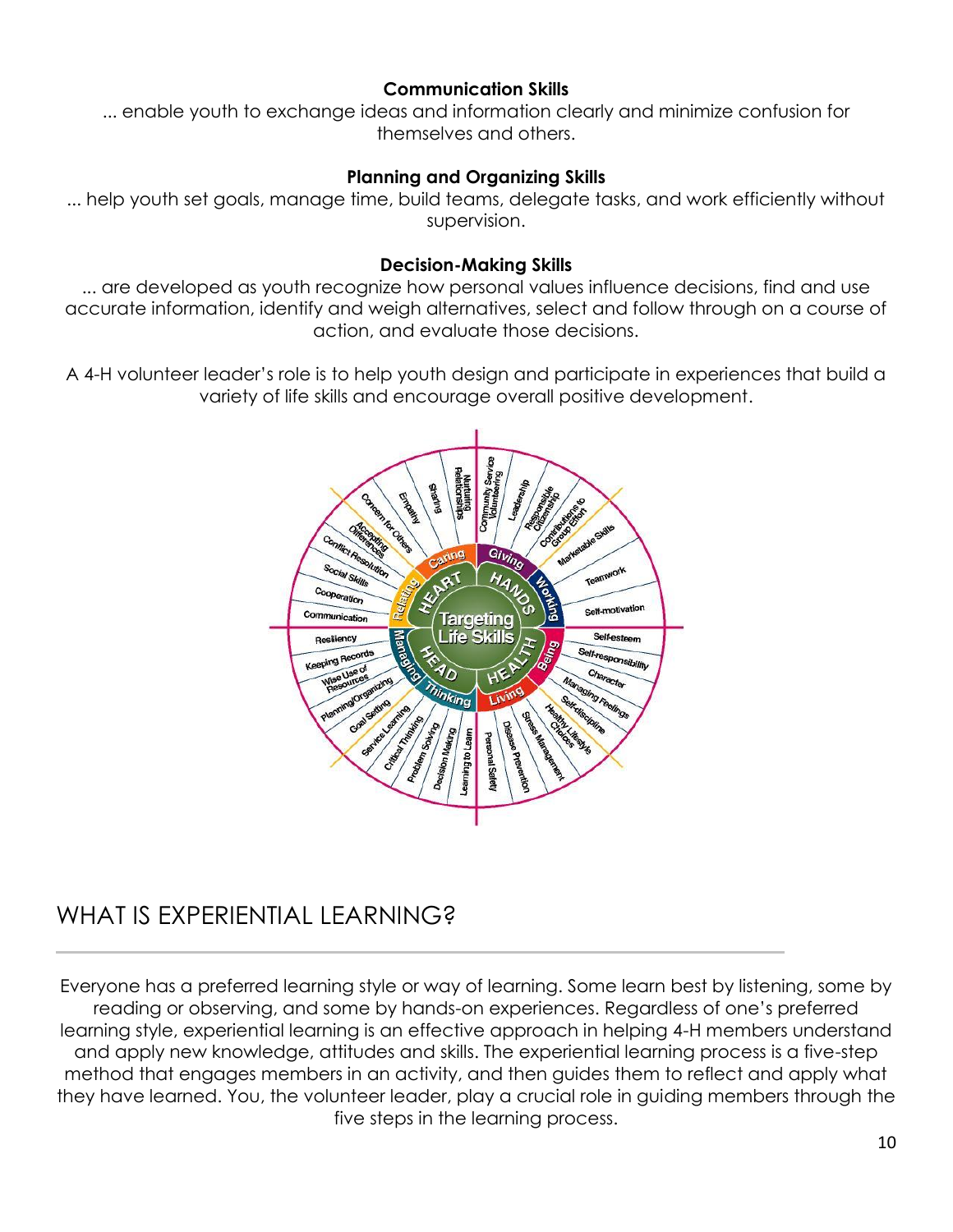#### **Communication Skills**

... enable youth to exchange ideas and information clearly and minimize confusion for themselves and others.

#### **Planning and Organizing Skills**

... help youth set goals, manage time, build teams, delegate tasks, and work efficiently without supervision.

#### **Decision-Making Skills**

... are developed as youth recognize how personal values influence decisions, find and use accurate information, identify and weigh alternatives, select and follow through on a course of action, and evaluate those decisions.

A 4-H volunteer leader's role is to help youth design and participate in experiences that build a variety of life skills and encourage overall positive development.



### WHAT IS EXPERIENTIAL LEARNING?

Everyone has a preferred learning style or way of learning. Some learn best by listening, some by reading or observing, and some by hands-on experiences. Regardless of one's preferred learning style, experiential learning is an effective approach in helping 4-H members understand and apply new knowledge, attitudes and skills. The experiential learning process is a five-step method that engages members in an activity, and then guides them to reflect and apply what they have learned. You, the volunteer leader, play a crucial role in guiding members through the five steps in the learning process.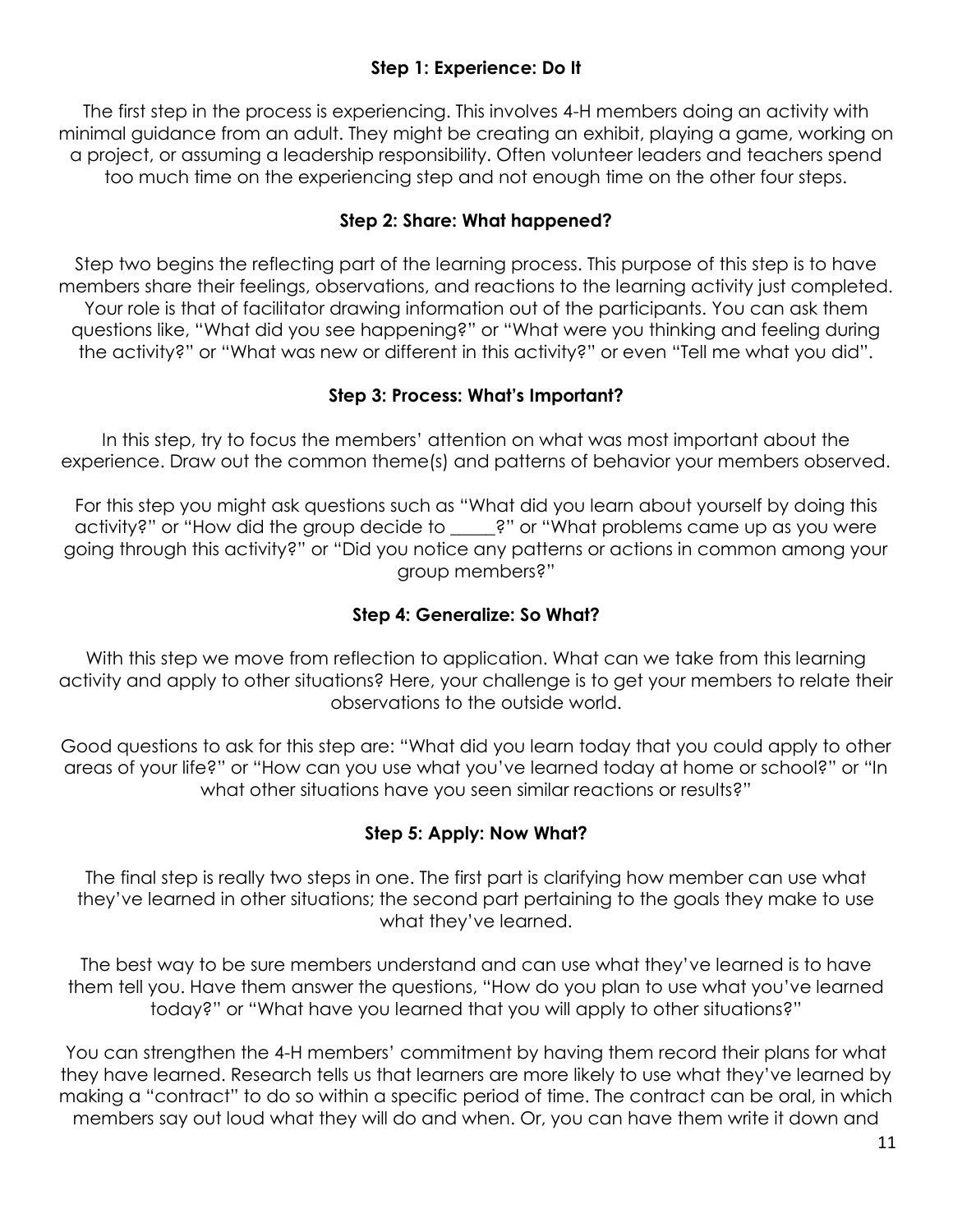### **Step 1: Experience: Do It**

The first step in the process is experiencing. This involves 4-H members doing an activity with minimal guidance from an adult. They might be creating an exhibit, playing a game, working on a project, or assuming a leadership responsibility. Often volunteer leaders and teachers spend too much time on the experiencing step and not enough time on the other four steps.

### **Step 2: Share: What happened?**

Step two begins the reflecting part of the learning process. This purpose of this step is to have members share their feelings, observations, and reactions to the learning activity just completed. Your role is that of facilitator drawing information out of the participants. You can ask them questions like, "What did you see happening?" or "What were you thinking and feeling during the activity?" or "What was new or different in this activity?" or even "Tell me what you did".

#### **Step 3: Process: What's Important?**

In this step, try to focus the members' attention on what was most important about the experience. Draw out the common theme(s) and patterns of behavior your members observed.

For this step you might ask questions such as "What did you learn about yourself by doing this activity?" or "How did the group decide to \_\_\_\_\_?" or "What problems came up as you were going through this activity?" or "Did you notice any patterns or actions in common among your group members?"

### **Step 4: Generalize: So What?**

With this step we move from reflection to application. What can we take from this learning activity and apply to other situations? Here, your challenge is to get your members to relate their observations to the outside world.

Good questions to ask for this step are: "What did you learn today that you could apply to other areas of your life?" or "How can you use what you've learned today at home or school?" or "In what other situations have you seen similar reactions or results?"

#### **Step 5: Apply: Now What?**

The final step is really two steps in one. The first part is clarifying how member can use what they've learned in other situations; the second part pertaining to the goals they make to use what they've learned.

The best way to be sure members understand and can use what they've learned is to have them tell you. Have them answer the questions, "How do you plan to use what you've learned today?" or "What have you learned that you will apply to other situations?"

You can strengthen the 4-H members' commitment by having them record their plans for what they have learned. Research tells us that learners are more likely to use what they've learned by making a "contract" to do so within a specific period of time. The contract can be oral, in which members say out loud what they will do and when. Or, you can have them write it down and